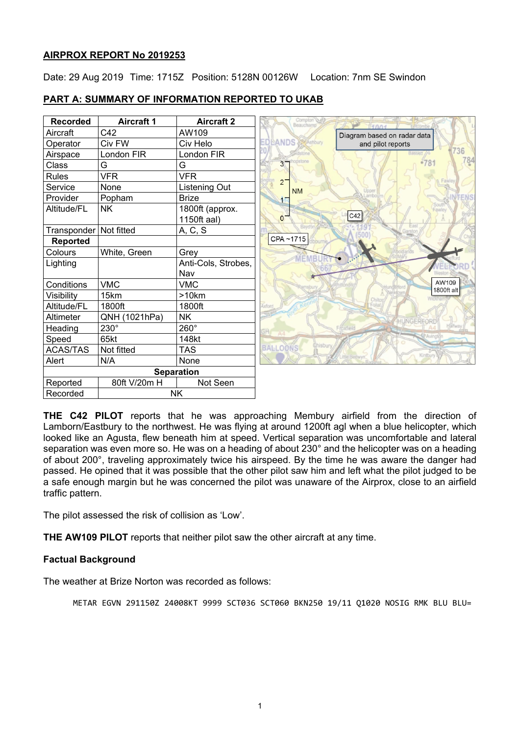# **AIRPROX REPORT No 2019253**

Date: 29 Aug 2019 Time: 1715Z Position: 5128N 00126W Location: 7nm SE Swindon

| <b>Recorded</b>   | <b>Aircraft 1</b> | <b>Aircraft 2</b>   |
|-------------------|-------------------|---------------------|
| Aircraft          | C42               | AW109               |
| Operator          | Civ FW            | Civ Helo            |
| Airspace          | London FIR        | London FIR          |
| Class             | G                 | G                   |
| <b>Rules</b>      | <b>VFR</b>        | <b>VFR</b>          |
| Service           | None              | Listening Out       |
| Provider          | Popham            | <b>Brize</b>        |
| Altitude/FL       | <b>NK</b>         | 1800ft (approx.     |
|                   |                   | 1150ft aal)         |
| Transponder       | Not fitted        | A, C, S             |
| <b>Reported</b>   |                   |                     |
| Colours           | White, Green      | Grey                |
| Lighting          |                   | Anti-Cols, Strobes, |
|                   |                   | Nav                 |
| Conditions        | <b>VMC</b>        | <b>VMC</b>          |
| Visibility        | 15km              | >10km               |
| Altitude/FL       | 1800ft            | 1800ft              |
| Altimeter         | QNH (1021hPa)     | NΚ                  |
| Heading           | $230^\circ$       | 260°                |
| Speed             | 65kt              | 148kt               |
| <b>ACAS/TAS</b>   | Not fitted        | <b>TAS</b>          |
| Alert             | N/A               | None                |
| <b>Separation</b> |                   |                     |
| Reported          | 80ft V/20m H      | Not Seen            |
| Recorded          | <b>NK</b>         |                     |





**THE C42 PILOT** reports that he was approaching Membury airfield from the direction of Lamborn/Eastbury to the northwest. He was flying at around 1200ft agl when a blue helicopter, which looked like an Agusta, flew beneath him at speed. Vertical separation was uncomfortable and lateral separation was even more so. He was on a heading of about 230° and the helicopter was on a heading of about 200°, traveling approximately twice his airspeed. By the time he was aware the danger had passed. He opined that it was possible that the other pilot saw him and left what the pilot judged to be a safe enough margin but he was concerned the pilot was unaware of the Airprox, close to an airfield traffic pattern.

The pilot assessed the risk of collision as 'Low'.

**THE AW109 PILOT** reports that neither pilot saw the other aircraft at any time.

# **Factual Background**

The weather at Brize Norton was recorded as follows:

METAR EGVN 291150Z 24008KT 9999 SCT036 SCT060 BKN250 19/11 Q1020 NOSIG RMK BLU BLU=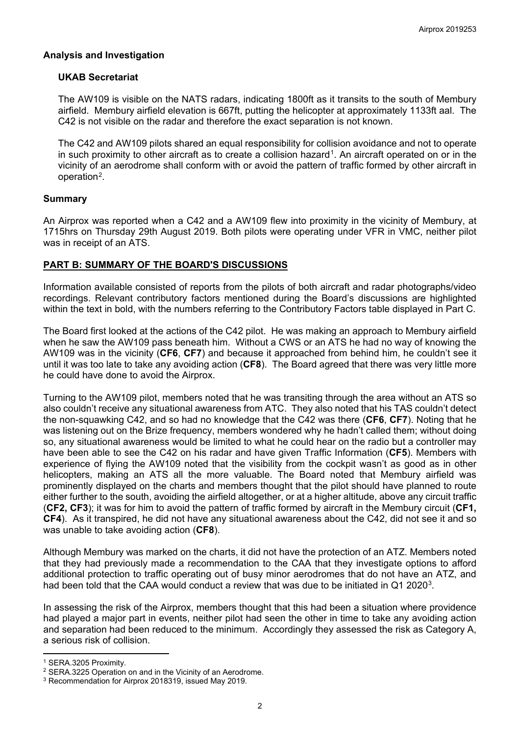### **Analysis and Investigation**

### **UKAB Secretariat**

The AW109 is visible on the NATS radars, indicating 1800ft as it transits to the south of Membury airfield. Membury airfield elevation is 667ft, putting the helicopter at approximately 1133ft aal. The C42 is not visible on the radar and therefore the exact separation is not known.

The C42 and AW109 pilots shared an equal responsibility for collision avoidance and not to operate in such proximity to other aircraft as to create a collision hazard<sup>[1](#page-1-0)</sup>. An aircraft operated on or in the vicinity of an aerodrome shall conform with or avoid the pattern of traffic formed by other aircraft in operation[2.](#page-1-1)

### **Summary**

An Airprox was reported when a C42 and a AW109 flew into proximity in the vicinity of Membury, at 1715hrs on Thursday 29th August 2019. Both pilots were operating under VFR in VMC, neither pilot was in receipt of an ATS.

# **PART B: SUMMARY OF THE BOARD'S DISCUSSIONS**

Information available consisted of reports from the pilots of both aircraft and radar photographs/video recordings. Relevant contributory factors mentioned during the Board's discussions are highlighted within the text in bold, with the numbers referring to the Contributory Factors table displayed in Part C.

The Board first looked at the actions of the C42 pilot. He was making an approach to Membury airfield when he saw the AW109 pass beneath him. Without a CWS or an ATS he had no way of knowing the AW109 was in the vicinity (**CF6**, **CF7**) and because it approached from behind him, he couldn't see it until it was too late to take any avoiding action (**CF8**). The Board agreed that there was very little more he could have done to avoid the Airprox.

Turning to the AW109 pilot, members noted that he was transiting through the area without an ATS so also couldn't receive any situational awareness from ATC. They also noted that his TAS couldn't detect the non-squawking C42, and so had no knowledge that the C42 was there (**CF6**, **CF7**). Noting that he was listening out on the Brize frequency, members wondered why he hadn't called them; without doing so, any situational awareness would be limited to what he could hear on the radio but a controller may have been able to see the C42 on his radar and have given Traffic Information (**CF5**). Members with experience of flying the AW109 noted that the visibility from the cockpit wasn't as good as in other helicopters, making an ATS all the more valuable. The Board noted that Membury airfield was prominently displayed on the charts and members thought that the pilot should have planned to route either further to the south, avoiding the airfield altogether, or at a higher altitude, above any circuit traffic (**CF2, CF3**); it was for him to avoid the pattern of traffic formed by aircraft in the Membury circuit (**CF1, CF4**). As it transpired, he did not have any situational awareness about the C42, did not see it and so was unable to take avoiding action (**CF8**).

Although Membury was marked on the charts, it did not have the protection of an ATZ. Members noted that they had previously made a recommendation to the CAA that they investigate options to afford additional protection to traffic operating out of busy minor aerodromes that do not have an ATZ, and had been told that the CAA would conduct a review that was due to be initiated in  $Q1 2020<sup>3</sup>$  $Q1 2020<sup>3</sup>$  $Q1 2020<sup>3</sup>$ .

In assessing the risk of the Airprox, members thought that this had been a situation where providence had played a major part in events, neither pilot had seen the other in time to take any avoiding action and separation had been reduced to the minimum. Accordingly they assessed the risk as Category A, a serious risk of collision.

l

<span id="page-1-0"></span><sup>1</sup> SERA.3205 Proximity.

<span id="page-1-1"></span><sup>2</sup> SERA.3225 Operation on and in the Vicinity of an Aerodrome.

<span id="page-1-2"></span><sup>3</sup> Recommendation for Airprox 2018319, issued May 2019.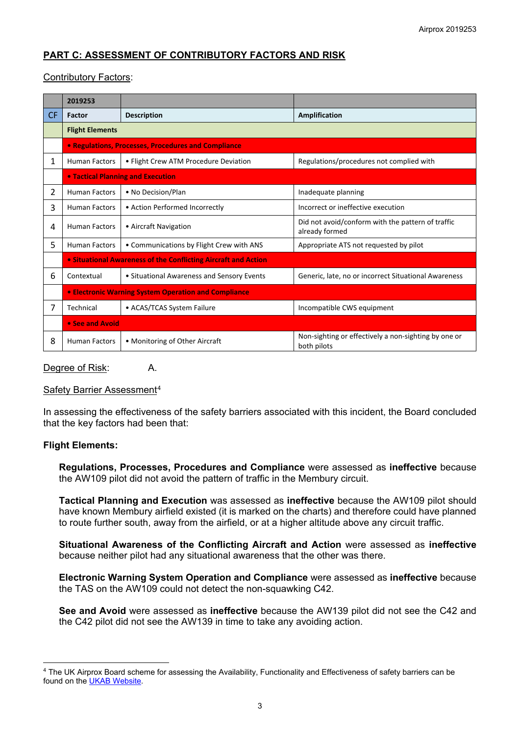# **PART C: ASSESSMENT OF CONTRIBUTORY FACTORS AND RISK**

# Contributory Factors:

|           | 2019253                                                        |                                            |                                                                     |  |
|-----------|----------------------------------------------------------------|--------------------------------------------|---------------------------------------------------------------------|--|
| <b>CF</b> | Factor                                                         | <b>Description</b>                         | Amplification                                                       |  |
|           | <b>Flight Elements</b>                                         |                                            |                                                                     |  |
|           | • Regulations, Processes, Procedures and Compliance            |                                            |                                                                     |  |
| 1         | <b>Human Factors</b>                                           | • Flight Crew ATM Procedure Deviation      | Regulations/procedures not complied with                            |  |
|           | <b>. Tactical Planning and Execution</b>                       |                                            |                                                                     |  |
| 2         | <b>Human Factors</b>                                           | • No Decision/Plan                         | Inadequate planning                                                 |  |
| 3         | <b>Human Factors</b>                                           | • Action Performed Incorrectly             | Incorrect or ineffective execution                                  |  |
| 4         | <b>Human Factors</b>                                           | • Aircraft Navigation                      | Did not avoid/conform with the pattern of traffic<br>already formed |  |
| 5         | <b>Human Factors</b>                                           | • Communications by Flight Crew with ANS   | Appropriate ATS not requested by pilot                              |  |
|           | • Situational Awareness of the Conflicting Aircraft and Action |                                            |                                                                     |  |
| 6         | Contextual                                                     | • Situational Awareness and Sensory Events | Generic, late, no or incorrect Situational Awareness                |  |
|           | <b>• Electronic Warning System Operation and Compliance</b>    |                                            |                                                                     |  |
| 7         | Technical                                                      | • ACAS/TCAS System Failure                 | Incompatible CWS equipment                                          |  |
|           | • See and Avoid                                                |                                            |                                                                     |  |
| 8         | <b>Human Factors</b>                                           | • Monitoring of Other Aircraft             | Non-sighting or effectively a non-sighting by one or<br>both pilots |  |

Degree of Risk: A.

# Safety Barrier Assessment[4](#page-2-0)

In assessing the effectiveness of the safety barriers associated with this incident, the Board concluded that the key factors had been that:

# **Flight Elements:**

 $\overline{\phantom{a}}$ 

**Regulations, Processes, Procedures and Compliance** were assessed as **ineffective** because the AW109 pilot did not avoid the pattern of traffic in the Membury circuit.

**Tactical Planning and Execution** was assessed as **ineffective** because the AW109 pilot should have known Membury airfield existed (it is marked on the charts) and therefore could have planned to route further south, away from the airfield, or at a higher altitude above any circuit traffic.

**Situational Awareness of the Conflicting Aircraft and Action** were assessed as **ineffective** because neither pilot had any situational awareness that the other was there.

**Electronic Warning System Operation and Compliance** were assessed as **ineffective** because the TAS on the AW109 could not detect the non-squawking C42.

**See and Avoid** were assessed as **ineffective** because the AW139 pilot did not see the C42 and the C42 pilot did not see the AW139 in time to take any avoiding action.

<span id="page-2-0"></span><sup>4</sup> The UK Airprox Board scheme for assessing the Availability, Functionality and Effectiveness of safety barriers can be found on the [UKAB Website.](http://www.airproxboard.org.uk/Learn-more/Airprox-Barrier-Assessment/)